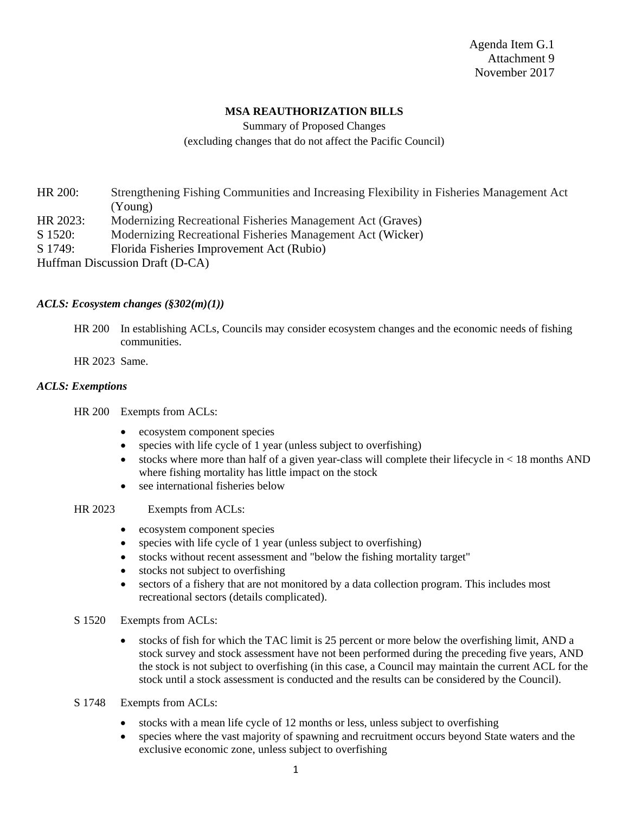Agenda Item G.1 Attachment 9 November 2017

## **MSA REAUTHORIZATION BILLS**

Summary of Proposed Changes (excluding changes that do not affect the Pacific Council)

HR 200: Strengthening Fishing Communities and Increasing Flexibility in Fisheries Management Act (Young)

- HR 2023: Modernizing Recreational Fisheries Management Act (Graves)
- S 1520: Modernizing Recreational Fisheries Management Act (Wicker)
- S 1749: Florida Fisheries Improvement Act (Rubio)
- Huffman Discussion Draft (D-CA)

## *ACLS: Ecosystem changes (§302(m)(1))*

- HR 200 In establishing ACLs, Councils may consider ecosystem changes and the economic needs of fishing communities.
- HR 2023 Same.

## *ACLS: Exemptions*

HR 200 Exempts from ACLs:

- ecosystem component species
- species with life cycle of 1 year (unless subject to overfishing)
- stocks where more than half of a given year-class will complete their lifecycle in  $\langle 18 \text{ months AND} \rangle$ where fishing mortality has little impact on the stock
- see international fisheries below
- HR 2023 Exempts from ACLs:
	- ecosystem component species
	- species with life cycle of 1 year (unless subject to overfishing)
	- stocks without recent assessment and "below the fishing mortality target"
	- stocks not subject to overfishing
	- sectors of a fishery that are not monitored by a data collection program. This includes most recreational sectors (details complicated).
- S 1520 Exempts from ACLs:
	- stocks of fish for which the TAC limit is 25 percent or more below the overfishing limit, AND a stock survey and stock assessment have not been performed during the preceding five years, AND the stock is not subject to overfishing (in this case, a Council may maintain the current ACL for the stock until a stock assessment is conducted and the results can be considered by the Council).
- S 1748 Exempts from ACLs:
	- stocks with a mean life cycle of 12 months or less, unless subject to overfishing
	- species where the vast majority of spawning and recruitment occurs beyond State waters and the exclusive economic zone, unless subject to overfishing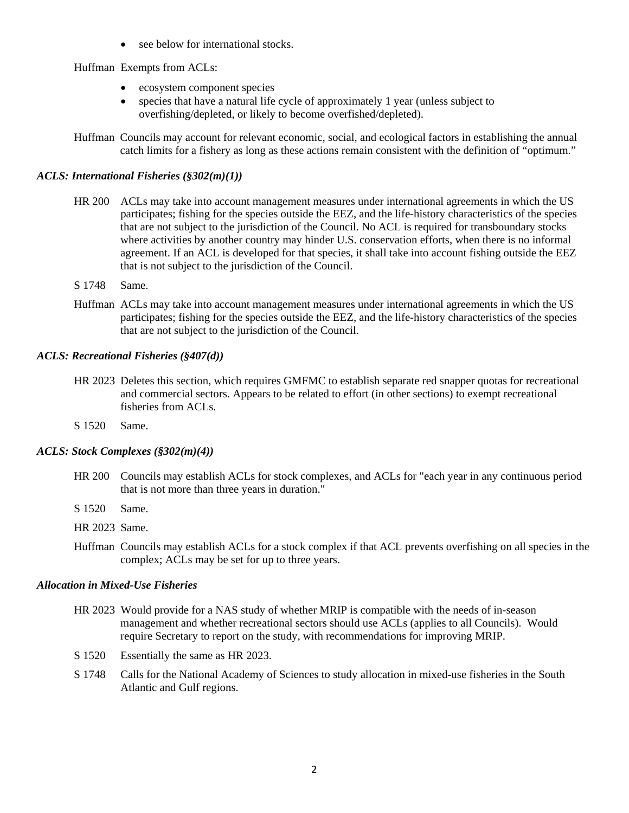• see below for international stocks.

Huffman Exempts from ACLs:

- ecosystem component species
- species that have a natural life cycle of approximately 1 year (unless subject to overfishing/depleted, or likely to become overfished/depleted).
- Huffman Councils may account for relevant economic, social, and ecological factors in establishing the annual catch limits for a fishery as long as these actions remain consistent with the definition of "optimum."

## *ACLS: International Fisheries (§302(m)(1))*

- HR 200 ACLs may take into account management measures under international agreements in which the US participates; fishing for the species outside the EEZ, and the life-history characteristics of the species that are not subject to the jurisdiction of the Council. No ACL is required for transboundary stocks where activities by another country may hinder U.S. conservation efforts, when there is no informal agreement. If an ACL is developed for that species, it shall take into account fishing outside the EEZ that is not subject to the jurisdiction of the Council.
- S 1748 Same.
- Huffman ACLs may take into account management measures under international agreements in which the US participates; fishing for the species outside the EEZ, and the life-history characteristics of the species that are not subject to the jurisdiction of the Council.

## *ACLS: Recreational Fisheries (§407(d))*

- HR 2023 Deletes this section, which requires GMFMC to establish separate red snapper quotas for recreational and commercial sectors. Appears to be related to effort (in other sections) to exempt recreational fisheries from ACLs.
- S 1520 Same.

## *ACLS: Stock Complexes (§302(m)(4))*

- HR 200 Councils may establish ACLs for stock complexes, and ACLs for "each year in any continuous period that is not more than three years in duration."
- S 1520 Same.
- HR 2023 Same.
- Huffman Councils may establish ACLs for a stock complex if that ACL prevents overfishing on all species in the complex; ACLs may be set for up to three years.

## *Allocation in Mixed-Use Fisheries*

- HR 2023 Would provide for a NAS study of whether MRIP is compatible with the needs of in-season management and whether recreational sectors should use ACLs (applies to all Councils). Would require Secretary to report on the study, with recommendations for improving MRIP.
- S 1520 Essentially the same as HR 2023.
- S 1748 Calls for the National Academy of Sciences to study allocation in mixed-use fisheries in the South Atlantic and Gulf regions.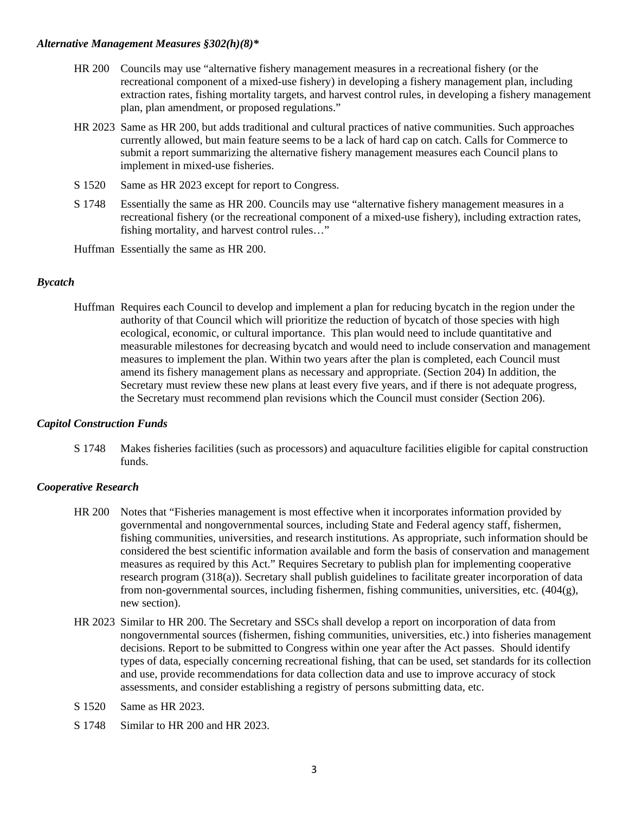## *Alternative Management Measures §302(h)(8)\**

- HR 200 Councils may use "alternative fishery management measures in a recreational fishery (or the recreational component of a mixed-use fishery) in developing a fishery management plan, including extraction rates, fishing mortality targets, and harvest control rules, in developing a fishery management plan, plan amendment, or proposed regulations."
- HR 2023 Same as HR 200, but adds traditional and cultural practices of native communities. Such approaches currently allowed, but main feature seems to be a lack of hard cap on catch. Calls for Commerce to submit a report summarizing the alternative fishery management measures each Council plans to implement in mixed-use fisheries.
- S 1520 Same as HR 2023 except for report to Congress.
- S 1748 Essentially the same as HR 200. Councils may use "alternative fishery management measures in a recreational fishery (or the recreational component of a mixed-use fishery), including extraction rates, fishing mortality, and harvest control rules…"

Huffman Essentially the same as HR 200.

## *Bycatch*

Huffman Requires each Council to develop and implement a plan for reducing bycatch in the region under the authority of that Council which will prioritize the reduction of bycatch of those species with high ecological, economic, or cultural importance. This plan would need to include quantitative and measurable milestones for decreasing bycatch and would need to include conservation and management measures to implement the plan. Within two years after the plan is completed, each Council must amend its fishery management plans as necessary and appropriate. (Section 204) In addition, the Secretary must review these new plans at least every five years, and if there is not adequate progress, the Secretary must recommend plan revisions which the Council must consider (Section 206).

## *Capitol Construction Funds*

S 1748 Makes fisheries facilities (such as processors) and aquaculture facilities eligible for capital construction funds.

## *Cooperative Research*

- HR 200 Notes that "Fisheries management is most effective when it incorporates information provided by governmental and nongovernmental sources, including State and Federal agency staff, fishermen, fishing communities, universities, and research institutions. As appropriate, such information should be considered the best scientific information available and form the basis of conservation and management measures as required by this Act." Requires Secretary to publish plan for implementing cooperative research program (318(a)). Secretary shall publish guidelines to facilitate greater incorporation of data from non-governmental sources, including fishermen, fishing communities, universities, etc. (404(g), new section).
- HR 2023 Similar to HR 200. The Secretary and SSCs shall develop a report on incorporation of data from nongovernmental sources (fishermen, fishing communities, universities, etc.) into fisheries management decisions. Report to be submitted to Congress within one year after the Act passes. Should identify types of data, especially concerning recreational fishing, that can be used, set standards for its collection and use, provide recommendations for data collection data and use to improve accuracy of stock assessments, and consider establishing a registry of persons submitting data, etc.
- S 1520 Same as HR 2023.
- S 1748 Similar to HR 200 and HR 2023.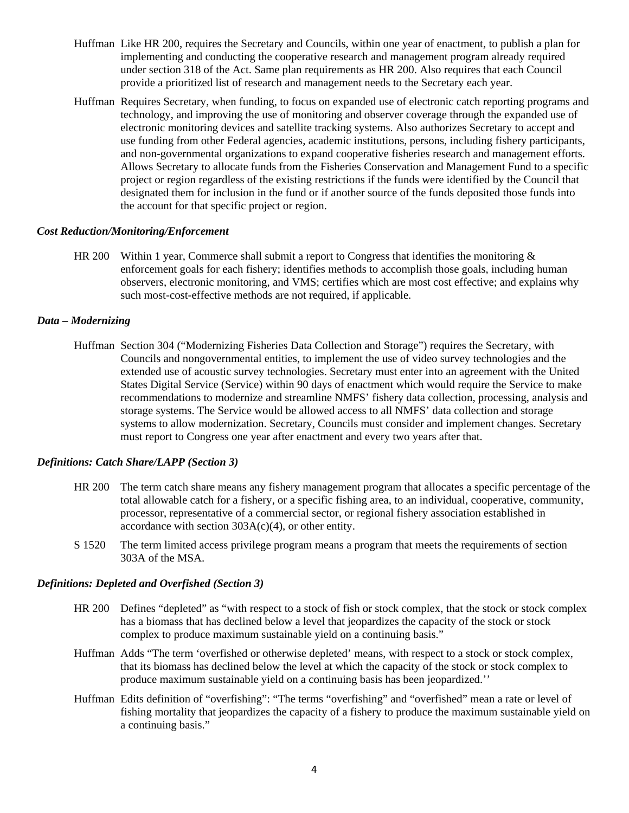- Huffman Like HR 200, requires the Secretary and Councils, within one year of enactment, to publish a plan for implementing and conducting the cooperative research and management program already required under section 318 of the Act. Same plan requirements as HR 200. Also requires that each Council provide a prioritized list of research and management needs to the Secretary each year.
- Huffman Requires Secretary, when funding, to focus on expanded use of electronic catch reporting programs and technology, and improving the use of monitoring and observer coverage through the expanded use of electronic monitoring devices and satellite tracking systems. Also authorizes Secretary to accept and use funding from other Federal agencies, academic institutions, persons, including fishery participants, and non-governmental organizations to expand cooperative fisheries research and management efforts. Allows Secretary to allocate funds from the Fisheries Conservation and Management Fund to a specific project or region regardless of the existing restrictions if the funds were identified by the Council that designated them for inclusion in the fund or if another source of the funds deposited those funds into the account for that specific project or region.

## *Cost Reduction/Monitoring/Enforcement*

HR 200 Within 1 year, Commerce shall submit a report to Congress that identifies the monitoring  $\&$ enforcement goals for each fishery; identifies methods to accomplish those goals, including human observers, electronic monitoring, and VMS; certifies which are most cost effective; and explains why such most-cost-effective methods are not required, if applicable.

## *Data – Modernizing*

Huffman Section 304 ("Modernizing Fisheries Data Collection and Storage") requires the Secretary, with Councils and nongovernmental entities, to implement the use of video survey technologies and the extended use of acoustic survey technologies. Secretary must enter into an agreement with the United States Digital Service (Service) within 90 days of enactment which would require the Service to make recommendations to modernize and streamline NMFS' fishery data collection, processing, analysis and storage systems. The Service would be allowed access to all NMFS' data collection and storage systems to allow modernization. Secretary, Councils must consider and implement changes. Secretary must report to Congress one year after enactment and every two years after that.

## *Definitions: Catch Share/LAPP (Section 3)*

- HR 200 The term catch share means any fishery management program that allocates a specific percentage of the total allowable catch for a fishery, or a specific fishing area, to an individual, cooperative, community, processor, representative of a commercial sector, or regional fishery association established in accordance with section  $303A(c)(4)$ , or other entity.
- S 1520 The term limited access privilege program means a program that meets the requirements of section 303A of the MSA.

## *Definitions: Depleted and Overfished (Section 3)*

- HR 200 Defines "depleted" as "with respect to a stock of fish or stock complex, that the stock or stock complex has a biomass that has declined below a level that jeopardizes the capacity of the stock or stock complex to produce maximum sustainable yield on a continuing basis."
- Huffman Adds "The term 'overfished or otherwise depleted' means, with respect to a stock or stock complex, that its biomass has declined below the level at which the capacity of the stock or stock complex to produce maximum sustainable yield on a continuing basis has been jeopardized.''
- Huffman Edits definition of "overfishing": "The terms "overfishing" and "overfished" mean a rate or level of fishing mortality that jeopardizes the capacity of a fishery to produce the maximum sustainable yield on a continuing basis."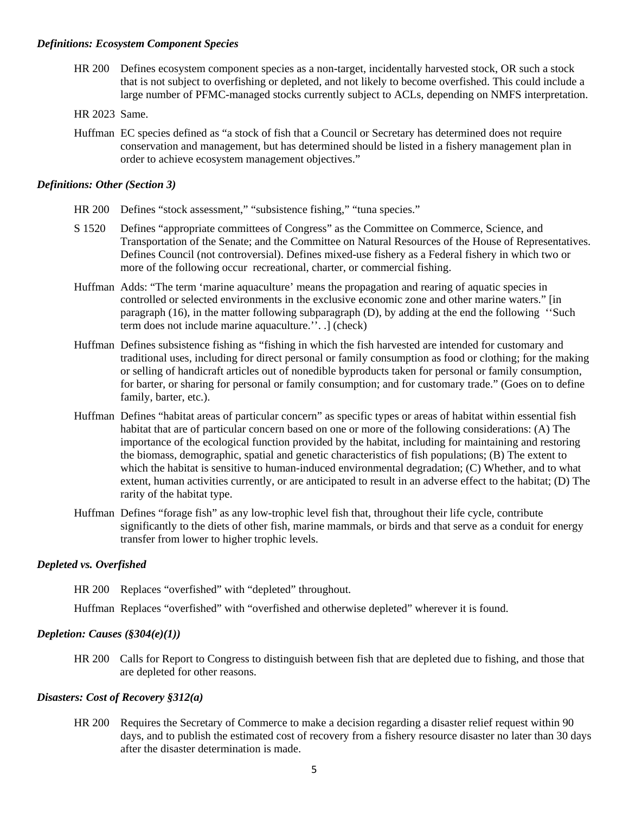#### *Definitions: Ecosystem Component Species*

- HR 200 Defines ecosystem component species as a non-target, incidentally harvested stock, OR such a stock that is not subject to overfishing or depleted, and not likely to become overfished. This could include a large number of PFMC-managed stocks currently subject to ACLs, depending on NMFS interpretation.
- HR 2023 Same.
- Huffman EC species defined as "a stock of fish that a Council or Secretary has determined does not require conservation and management, but has determined should be listed in a fishery management plan in order to achieve ecosystem management objectives."

## *Definitions: Other (Section 3)*

- HR 200 Defines "stock assessment," "subsistence fishing," "tuna species."
- S 1520 Defines "appropriate committees of Congress" as the Committee on Commerce, Science, and Transportation of the Senate; and the Committee on Natural Resources of the House of Representatives. Defines Council (not controversial). Defines mixed-use fishery as a Federal fishery in which two or more of the following occur recreational, charter, or commercial fishing.
- Huffman Adds: "The term 'marine aquaculture' means the propagation and rearing of aquatic species in controlled or selected environments in the exclusive economic zone and other marine waters." [in paragraph (16), in the matter following subparagraph (D), by adding at the end the following ''Such term does not include marine aquaculture.''. .] (check)
- Huffman Defines subsistence fishing as "fishing in which the fish harvested are intended for customary and traditional uses, including for direct personal or family consumption as food or clothing; for the making or selling of handicraft articles out of nonedible byproducts taken for personal or family consumption, for barter, or sharing for personal or family consumption; and for customary trade." (Goes on to define family, barter, etc.).
- Huffman Defines "habitat areas of particular concern" as specific types or areas of habitat within essential fish habitat that are of particular concern based on one or more of the following considerations: (A) The importance of the ecological function provided by the habitat, including for maintaining and restoring the biomass, demographic, spatial and genetic characteristics of fish populations; (B) The extent to which the habitat is sensitive to human-induced environmental degradation; (C) Whether, and to what extent, human activities currently, or are anticipated to result in an adverse effect to the habitat; (D) The rarity of the habitat type.
- Huffman Defines "forage fish" as any low-trophic level fish that, throughout their life cycle, contribute significantly to the diets of other fish, marine mammals, or birds and that serve as a conduit for energy transfer from lower to higher trophic levels.

## *Depleted vs. Overfished*

HR 200 Replaces "overfished" with "depleted" throughout.

Huffman Replaces "overfished" with "overfished and otherwise depleted" wherever it is found.

## *Depletion: Causes (§304(e)(1))*

HR 200 Calls for Report to Congress to distinguish between fish that are depleted due to fishing, and those that are depleted for other reasons.

## *Disasters: Cost of Recovery §312(a)*

HR 200 Requires the Secretary of Commerce to make a decision regarding a disaster relief request within 90 days, and to publish the estimated cost of recovery from a fishery resource disaster no later than 30 days after the disaster determination is made.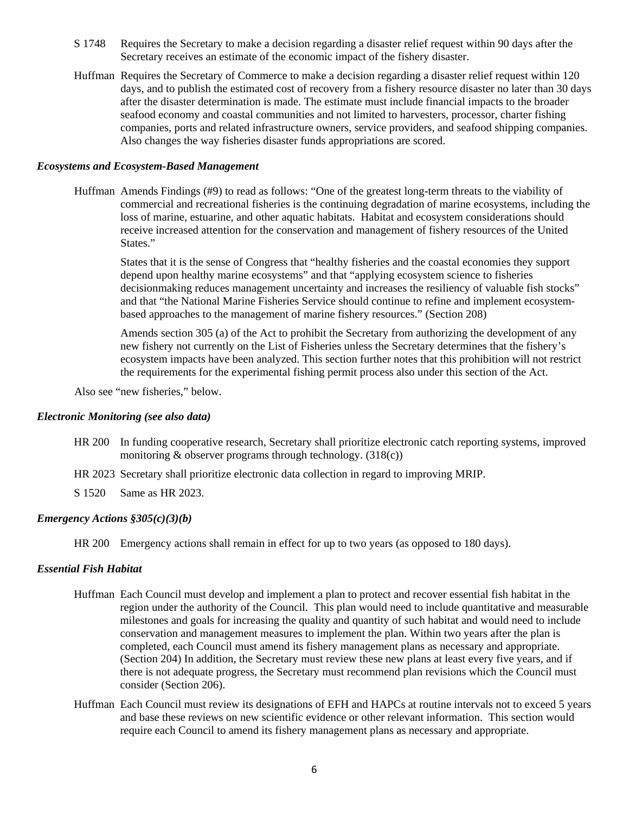- S 1748 Requires the Secretary to make a decision regarding a disaster relief request within 90 days after the Secretary receives an estimate of the economic impact of the fishery disaster.
- Huffman Requires the Secretary of Commerce to make a decision regarding a disaster relief request within 120 days, and to publish the estimated cost of recovery from a fishery resource disaster no later than 30 days after the disaster determination is made. The estimate must include financial impacts to the broader seafood economy and coastal communities and not limited to harvesters, processor, charter fishing companies, ports and related infrastructure owners, service providers, and seafood shipping companies. Also changes the way fisheries disaster funds appropriations are scored.

#### *Ecosystems and Ecosystem-Based Management*

Huffman Amends Findings (#9) to read as follows: "One of the greatest long-term threats to the viability of commercial and recreational fisheries is the continuing degradation of marine ecosystems, including the loss of marine, estuarine, and other aquatic habitats. Habitat and ecosystem considerations should receive increased attention for the conservation and management of fishery resources of the United States."

States that it is the sense of Congress that "healthy fisheries and the coastal economies they support depend upon healthy marine ecosystems" and that "applying ecosystem science to fisheries decisionmaking reduces management uncertainty and increases the resiliency of valuable fish stocks" and that "the National Marine Fisheries Service should continue to refine and implement ecosystembased approaches to the management of marine fishery resources." (Section 208)

Amends section 305 (a) of the Act to prohibit the Secretary from authorizing the development of any new fishery not currently on the List of Fisheries unless the Secretary determines that the fishery's ecosystem impacts have been analyzed. This section further notes that this prohibition will not restrict the requirements for the experimental fishing permit process also under this section of the Act.

Also see "new fisheries," below.

#### *Electronic Monitoring (see also data)*

- HR 200 In funding cooperative research, Secretary shall prioritize electronic catch reporting systems, improved monitoring & observer programs through technology. (318(c))
- HR 2023 Secretary shall prioritize electronic data collection in regard to improving MRIP.
- S 1520 Same as HR 2023.

#### *Emergency Actions §305(c)(3)(b)*

HR 200 Emergency actions shall remain in effect for up to two years (as opposed to 180 days).

#### *Essential Fish Habitat*

- Huffman Each Council must develop and implement a plan to protect and recover essential fish habitat in the region under the authority of the Council. This plan would need to include quantitative and measurable milestones and goals for increasing the quality and quantity of such habitat and would need to include conservation and management measures to implement the plan. Within two years after the plan is completed, each Council must amend its fishery management plans as necessary and appropriate. (Section 204) In addition, the Secretary must review these new plans at least every five years, and if there is not adequate progress, the Secretary must recommend plan revisions which the Council must consider (Section 206).
- Huffman Each Council must review its designations of EFH and HAPCs at routine intervals not to exceed 5 years and base these reviews on new scientific evidence or other relevant information. This section would require each Council to amend its fishery management plans as necessary and appropriate.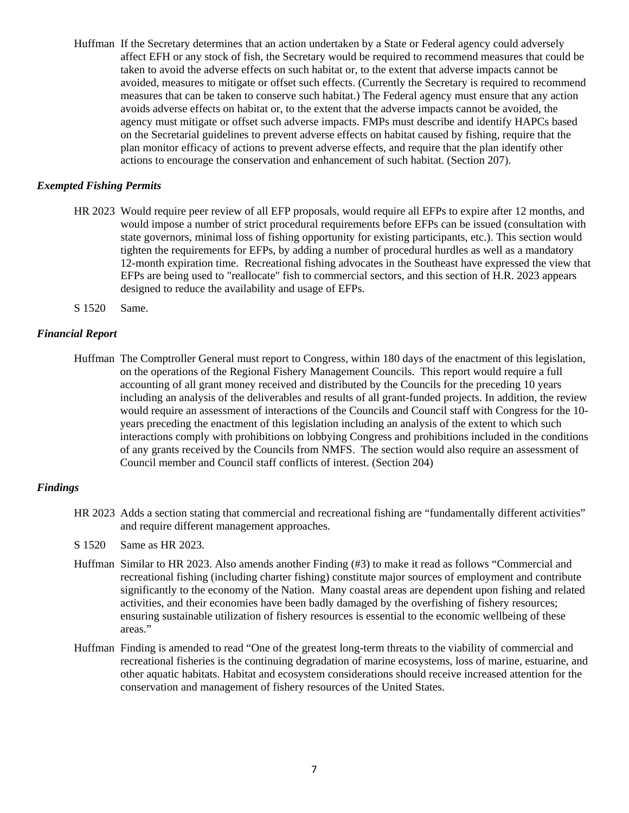Huffman If the Secretary determines that an action undertaken by a State or Federal agency could adversely affect EFH or any stock of fish, the Secretary would be required to recommend measures that could be taken to avoid the adverse effects on such habitat or, to the extent that adverse impacts cannot be avoided, measures to mitigate or offset such effects. (Currently the Secretary is required to recommend measures that can be taken to conserve such habitat.) The Federal agency must ensure that any action avoids adverse effects on habitat or, to the extent that the adverse impacts cannot be avoided, the agency must mitigate or offset such adverse impacts. FMPs must describe and identify HAPCs based on the Secretarial guidelines to prevent adverse effects on habitat caused by fishing, require that the plan monitor efficacy of actions to prevent adverse effects, and require that the plan identify other actions to encourage the conservation and enhancement of such habitat. (Section 207).

## *Exempted Fishing Permits*

- HR 2023 Would require peer review of all EFP proposals, would require all EFPs to expire after 12 months, and would impose a number of strict procedural requirements before EFPs can be issued (consultation with state governors, minimal loss of fishing opportunity for existing participants, etc.). This section would tighten the requirements for EFPs, by adding a number of procedural hurdles as well as a mandatory 12-month expiration time. Recreational fishing advocates in the Southeast have expressed the view that EFPs are being used to "reallocate" fish to commercial sectors, and this section of H.R. 2023 appears designed to reduce the availability and usage of EFPs.
- S 1520 Same.

## *Financial Report*

Huffman The Comptroller General must report to Congress, within 180 days of the enactment of this legislation, on the operations of the Regional Fishery Management Councils. This report would require a full accounting of all grant money received and distributed by the Councils for the preceding 10 years including an analysis of the deliverables and results of all grant-funded projects. In addition, the review would require an assessment of interactions of the Councils and Council staff with Congress for the 10 years preceding the enactment of this legislation including an analysis of the extent to which such interactions comply with prohibitions on lobbying Congress and prohibitions included in the conditions of any grants received by the Councils from NMFS. The section would also require an assessment of Council member and Council staff conflicts of interest. (Section 204)

## *Findings*

HR 2023 Adds a section stating that commercial and recreational fishing are "fundamentally different activities" and require different management approaches.

S 1520 Same as HR 2023.

- Huffman Similar to HR 2023. Also amends another Finding (#3) to make it read as follows "Commercial and recreational fishing (including charter fishing) constitute major sources of employment and contribute significantly to the economy of the Nation. Many coastal areas are dependent upon fishing and related activities, and their economies have been badly damaged by the overfishing of fishery resources; ensuring sustainable utilization of fishery resources is essential to the economic wellbeing of these areas."
- Huffman Finding is amended to read "One of the greatest long-term threats to the viability of commercial and recreational fisheries is the continuing degradation of marine ecosystems, loss of marine, estuarine, and other aquatic habitats. Habitat and ecosystem considerations should receive increased attention for the conservation and management of fishery resources of the United States.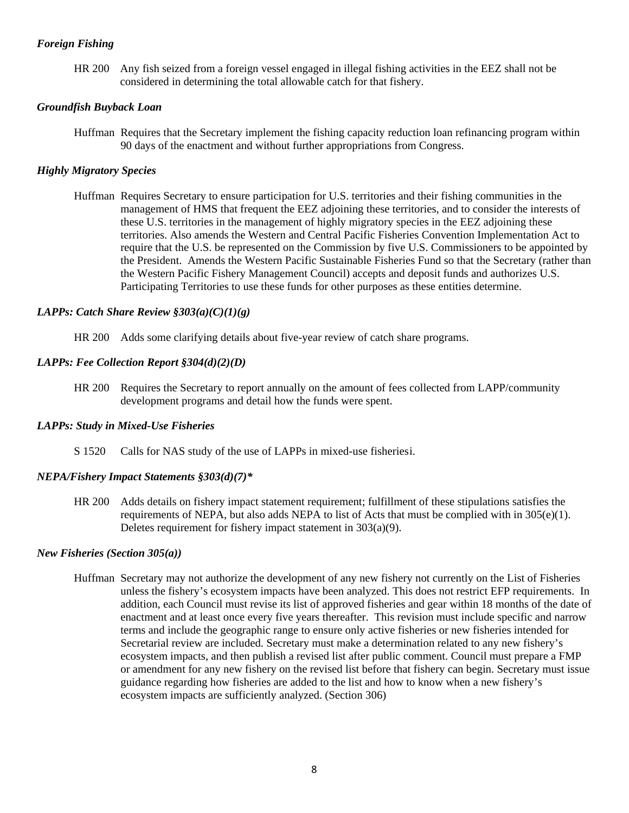## *Foreign Fishing*

HR 200 Any fish seized from a foreign vessel engaged in illegal fishing activities in the EEZ shall not be considered in determining the total allowable catch for that fishery.

## *Groundfish Buyback Loan*

Huffman Requires that the Secretary implement the fishing capacity reduction loan refinancing program within 90 days of the enactment and without further appropriations from Congress.

## *Highly Migratory Species*

Huffman Requires Secretary to ensure participation for U.S. territories and their fishing communities in the management of HMS that frequent the EEZ adjoining these territories, and to consider the interests of these U.S. territories in the management of highly migratory species in the EEZ adjoining these territories. Also amends the Western and Central Pacific Fisheries Convention Implementation Act to require that the U.S. be represented on the Commission by five U.S. Commissioners to be appointed by the President. Amends the Western Pacific Sustainable Fisheries Fund so that the Secretary (rather than the Western Pacific Fishery Management Council) accepts and deposit funds and authorizes U.S. Participating Territories to use these funds for other purposes as these entities determine.

## *LAPPs: Catch Share Review §303(a)(C)(1)(g)*

HR 200 Adds some clarifying details about five-year review of catch share programs.

## *LAPPs: Fee Collection Report §304(d)(2)(D)*

HR 200 Requires the Secretary to report annually on the amount of fees collected from LAPP/community development programs and detail how the funds were spent.

## *LAPPs: Study in Mixed-Use Fisheries*

S 1520 Calls for NAS study of the use of LAPPs in mixed-use fisheries[i.](#page-11-0)

## *NEPA/Fishery Impact Statements §303(d)(7)\**

HR 200 Adds details on fishery impact statement requirement; fulfillment of these stipulations satisfies the requirements of NEPA, but also adds NEPA to list of Acts that must be complied with in  $305(e)(1)$ . Deletes requirement for fishery impact statement in 303(a)(9).

## *New Fisheries (Section 305(a))*

Huffman Secretary may not authorize the development of any new fishery not currently on the List of Fisheries unless the fishery's ecosystem impacts have been analyzed. This does not restrict EFP requirements. In addition, each Council must revise its list of approved fisheries and gear within 18 months of the date of enactment and at least once every five years thereafter. This revision must include specific and narrow terms and include the geographic range to ensure only active fisheries or new fisheries intended for Secretarial review are included. Secretary must make a determination related to any new fishery's ecosystem impacts, and then publish a revised list after public comment. Council must prepare a FMP or amendment for any new fishery on the revised list before that fishery can begin. Secretary must issue guidance regarding how fisheries are added to the list and how to know when a new fishery's ecosystem impacts are sufficiently analyzed. (Section 306)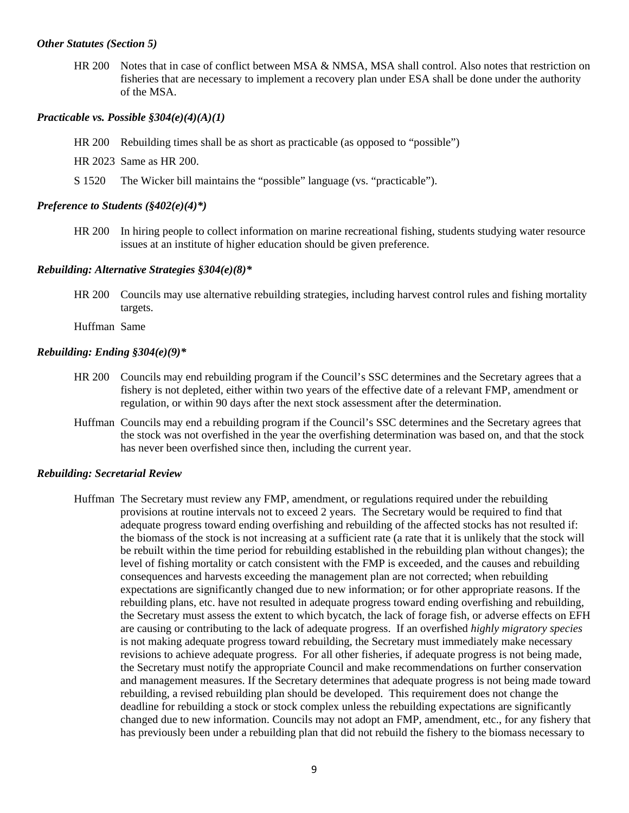#### *Other Statutes (Section 5)*

HR 200 Notes that in case of conflict between MSA & NMSA, MSA shall control. Also notes that restriction on fisheries that are necessary to implement a recovery plan under ESA shall be done under the authority of the MSA.

## *Practicable vs. Possible §304(e)(4)(A)(1)*

- HR 200 Rebuilding times shall be as short as practicable (as opposed to "possible")
- HR 2023 Same as HR 200.
- S 1520 The Wicker bill maintains the "possible" language (vs. "practicable").

#### *Preference to Students (§402(e)(4)\*)*

HR 200 In hiring people to collect information on marine recreational fishing, students studying water resource issues at an institute of higher education should be given preference.

## *Rebuilding: Alternative Strategies §304(e)(8)\**

HR 200 Councils may use alternative rebuilding strategies, including harvest control rules and fishing mortality targets.

Huffman Same

#### *Rebuilding: Ending §304(e)(9)\**

- HR 200 Councils may end rebuilding program if the Council's SSC determines and the Secretary agrees that a fishery is not depleted, either within two years of the effective date of a relevant FMP, amendment or regulation, or within 90 days after the next stock assessment after the determination.
- Huffman Councils may end a rebuilding program if the Council's SSC determines and the Secretary agrees that the stock was not overfished in the year the overfishing determination was based on, and that the stock has never been overfished since then, including the current year.

#### *Rebuilding: Secretarial Review*

Huffman The Secretary must review any FMP, amendment, or regulations required under the rebuilding provisions at routine intervals not to exceed 2 years. The Secretary would be required to find that adequate progress toward ending overfishing and rebuilding of the affected stocks has not resulted if: the biomass of the stock is not increasing at a sufficient rate (a rate that it is unlikely that the stock will be rebuilt within the time period for rebuilding established in the rebuilding plan without changes); the level of fishing mortality or catch consistent with the FMP is exceeded, and the causes and rebuilding consequences and harvests exceeding the management plan are not corrected; when rebuilding expectations are significantly changed due to new information; or for other appropriate reasons. If the rebuilding plans, etc. have not resulted in adequate progress toward ending overfishing and rebuilding, the Secretary must assess the extent to which bycatch, the lack of forage fish, or adverse effects on EFH are causing or contributing to the lack of adequate progress. If an overfished *highly migratory species* is not making adequate progress toward rebuilding, the Secretary must immediately make necessary revisions to achieve adequate progress. For all other fisheries, if adequate progress is not being made, the Secretary must notify the appropriate Council and make recommendations on further conservation and management measures. If the Secretary determines that adequate progress is not being made toward rebuilding, a revised rebuilding plan should be developed. This requirement does not change the deadline for rebuilding a stock or stock complex unless the rebuilding expectations are significantly changed due to new information. Councils may not adopt an FMP, amendment, etc., for any fishery that has previously been under a rebuilding plan that did not rebuild the fishery to the biomass necessary to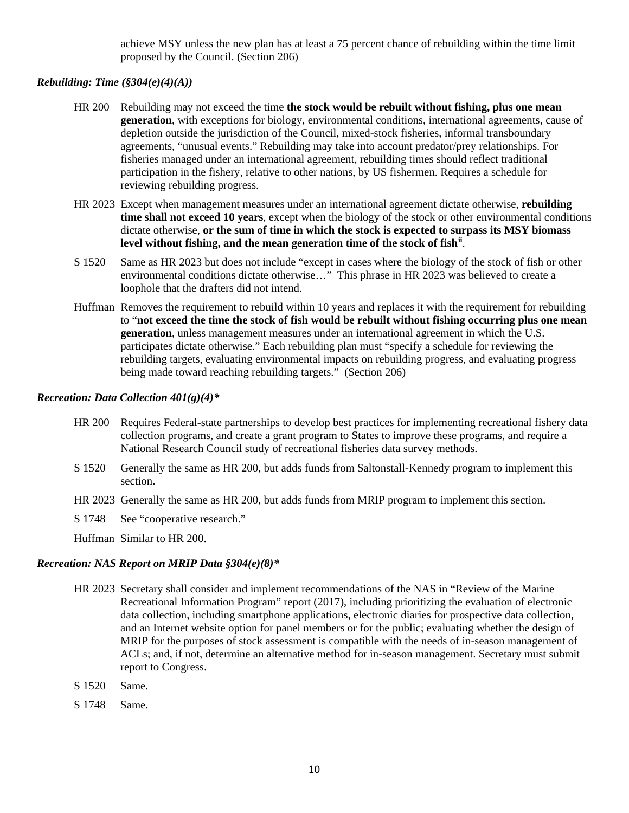achieve MSY unless the new plan has at least a 75 percent chance of rebuilding within the time limit proposed by the Council. (Section 206)

## *Rebuilding: Time (§304(e)(4)(A))*

- HR 200 Rebuilding may not exceed the time **the stock would be rebuilt without fishing, plus one mean generation**, with exceptions for biology, environmental conditions, international agreements, cause of depletion outside the jurisdiction of the Council, mixed-stock fisheries, informal transboundary agreements, "unusual events." Rebuilding may take into account predator/prey relationships. For fisheries managed under an international agreement, rebuilding times should reflect traditional participation in the fishery, relative to other nations, by US fishermen. Requires a schedule for reviewing rebuilding progress.
- HR 2023 Except when management measures under an international agreement dictate otherwise, **rebuilding time shall not exceed 10 years**, except when the biology of the stock or other environmental conditions dictate otherwise, **or the sum of time in which the stock is expected to surpass its MSY biomass level without fishing, and the mean generation time of the stock of fish[ii](#page-11-1)** .
- S 1520 Same as HR 2023 but does not include "except in cases where the biology of the stock of fish or other environmental conditions dictate otherwise…" This phrase in HR 2023 was believed to create a loophole that the drafters did not intend.
- Huffman Removes the requirement to rebuild within 10 years and replaces it with the requirement for rebuilding to "**not exceed the time the stock of fish would be rebuilt without fishing occurring plus one mean generation**, unless management measures under an international agreement in which the U.S. participates dictate otherwise." Each rebuilding plan must "specify a schedule for reviewing the rebuilding targets, evaluating environmental impacts on rebuilding progress, and evaluating progress being made toward reaching rebuilding targets." (Section 206)

## *Recreation: Data Collection 401(g)(4)\**

- HR 200 Requires Federal-state partnerships to develop best practices for implementing recreational fishery data collection programs, and create a grant program to States to improve these programs, and require a National Research Council study of recreational fisheries data survey methods.
- S 1520 Generally the same as HR 200, but adds funds from Saltonstall-Kennedy program to implement this section.
- HR 2023 Generally the same as HR 200, but adds funds from MRIP program to implement this section.
- S 1748 See "cooperative research."

Huffman Similar to HR 200.

## *Recreation: NAS Report on MRIP Data §304(e)(8)\**

- HR 2023 Secretary shall consider and implement recommendations of the NAS in "Review of the Marine Recreational Information Program" report (2017), including prioritizing the evaluation of electronic data collection, including smartphone applications, electronic diaries for prospective data collection, and an Internet website option for panel members or for the public; evaluating whether the design of MRIP for the purposes of stock assessment is compatible with the needs of in-season management of ACLs; and, if not, determine an alternative method for in-season management. Secretary must submit report to Congress.
- S 1520 Same.
- S 1748 Same.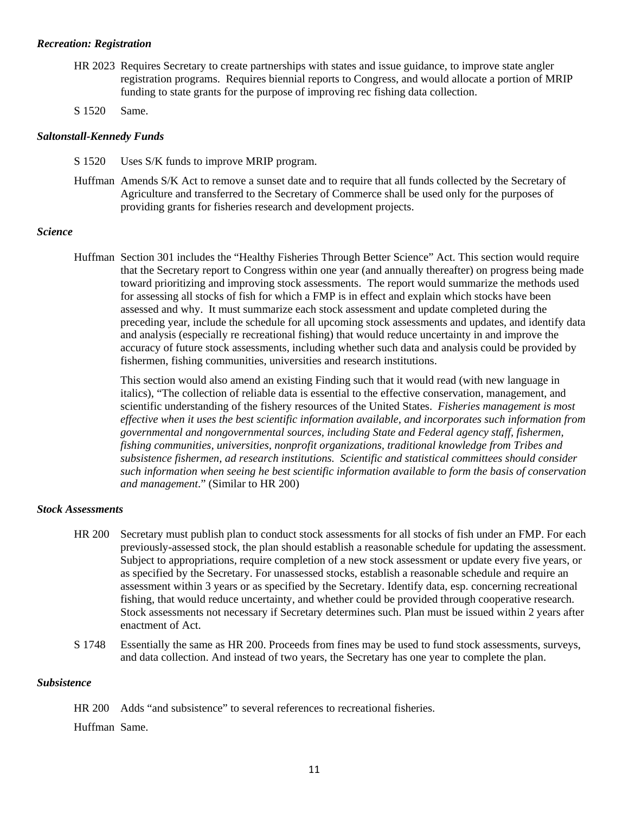#### *Recreation: Registration*

- HR 2023 Requires Secretary to create partnerships with states and issue guidance, to improve state angler registration programs. Requires biennial reports to Congress, and would allocate a portion of MRIP funding to state grants for the purpose of improving rec fishing data collection.
- S 1520 Same.

## *Saltonstall-Kennedy Funds*

- S 1520 Uses S/K funds to improve MRIP program.
- Huffman Amends S/K Act to remove a sunset date and to require that all funds collected by the Secretary of Agriculture and transferred to the Secretary of Commerce shall be used only for the purposes of providing grants for fisheries research and development projects.

## *Science*

Huffman Section 301 includes the "Healthy Fisheries Through Better Science" Act. This section would require that the Secretary report to Congress within one year (and annually thereafter) on progress being made toward prioritizing and improving stock assessments. The report would summarize the methods used for assessing all stocks of fish for which a FMP is in effect and explain which stocks have been assessed and why. It must summarize each stock assessment and update completed during the preceding year, include the schedule for all upcoming stock assessments and updates, and identify data and analysis (especially re recreational fishing) that would reduce uncertainty in and improve the accuracy of future stock assessments, including whether such data and analysis could be provided by fishermen, fishing communities, universities and research institutions.

This section would also amend an existing Finding such that it would read (with new language in italics), "The collection of reliable data is essential to the effective conservation, management, and scientific understanding of the fishery resources of the United States. *Fisheries management is most effective when it uses the best scientific information available, and incorporates such information from governmental and nongovernmental sources, including State and Federal agency staff, fishermen, fishing communities, universities, nonprofit organizations, traditional knowledge from Tribes and subsistence fishermen, ad research institutions. Scientific and statistical committees should consider such information when seeing he best scientific information available to form the basis of conservation and management*." (Similar to HR 200)

#### *Stock Assessments*

- HR 200 Secretary must publish plan to conduct stock assessments for all stocks of fish under an FMP. For each previously-assessed stock, the plan should establish a reasonable schedule for updating the assessment. Subject to appropriations, require completion of a new stock assessment or update every five years, or as specified by the Secretary. For unassessed stocks, establish a reasonable schedule and require an assessment within 3 years or as specified by the Secretary. Identify data, esp. concerning recreational fishing, that would reduce uncertainty, and whether could be provided through cooperative research. Stock assessments not necessary if Secretary determines such. Plan must be issued within 2 years after enactment of Act.
- S 1748 Essentially the same as HR 200. Proceeds from fines may be used to fund stock assessments, surveys, and data collection. And instead of two years, the Secretary has one year to complete the plan.

## *Subsistence*

HR 200 Adds "and subsistence" to several references to recreational fisheries.

Huffman Same.